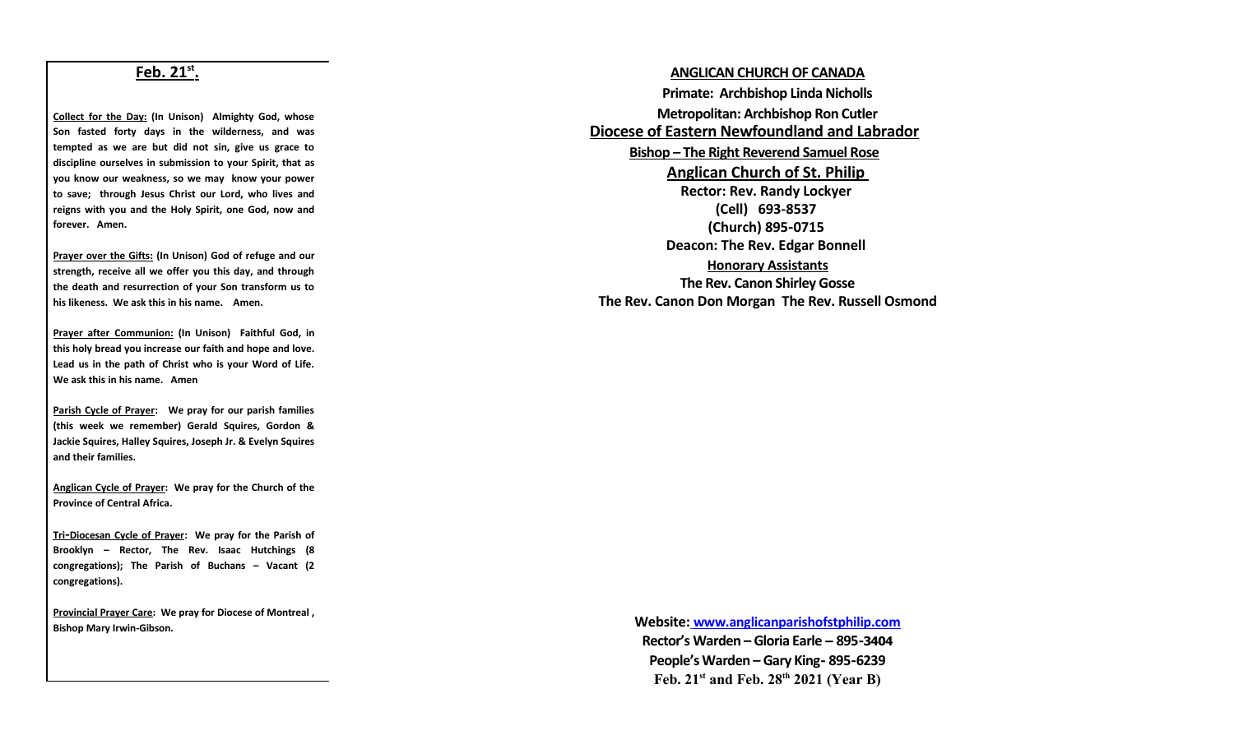## **Feb. 21st .**

**Collect for the Day: (In Unison) Almighty God, whose Son fasted forty days in the wilderness, and was tempted as we are but did not sin, give us grace to discipline ourselves in submission to your Spirit, that as you know our weakness, so we may know your power to save; through Jesus Christ our Lord, who lives and reigns with you and the Holy Spirit, one God, now and forever. Amen.**

**Prayer over the Gifts: (In Unison) God of refuge and our strength, receive all we offer you this day, and through the death and resurrection of your Son transform us to his likeness. We ask this in his name. Amen.**

**Prayer after Communion: (In Unison) Faithful God, in this holy bread you increase our faith and hope and love. Lead us in the path of Christ who is your Word of Life. We ask this in his name. Amen**

**Parish Cycle of Prayer: We pray for our parish families (this week we remember) Gerald Squires, Gordon & Jackie Squires, Halley Squires, Joseph Jr. & Evelyn Squires and their families.**

**Anglican Cycle of Prayer: We pray for the Church of the Province of Central Africa.**

 **Tri -Diocesan Cycle of Prayer: We pray for the Parish of Brooklyn – Rector, The Rev. Isaac Hutchings (8 congregations); The Parish of Buchans – Vacant (2 congregations).** 

**Provincial Prayer Care: We pray for Diocese of Montreal , Bishop Mary Irwin-Gibson.**

**ANGLICAN CHURCH OF CANADA Primate: Archbishop Linda Nicholls Metropolitan: Archbishop Ron Cutler Diocese of Eastern Newfoundland and Labrador Bishop – The Right Reverend Samuel Rose Anglican Church of St. Philip Rector: Rev. Randy Lockyer (Cell) 693-8537 (Church) 895-0715 Deacon: The Rev. Edgar Bonnell Honorary Assistants The Rev. Canon Shirley Gosse The Rev. Canon Don Morgan The Rev. Russell Osmond**

> **Website: [www.anglicanparishofstphilip.com](http://www.anglicanparishofstphilip.com/)  Rector's Warden – Gloria Earle – 895-3404 People's Warden – Gary King- 895-6239 Feb. 21st and Feb. 28th 2021 (Year B)**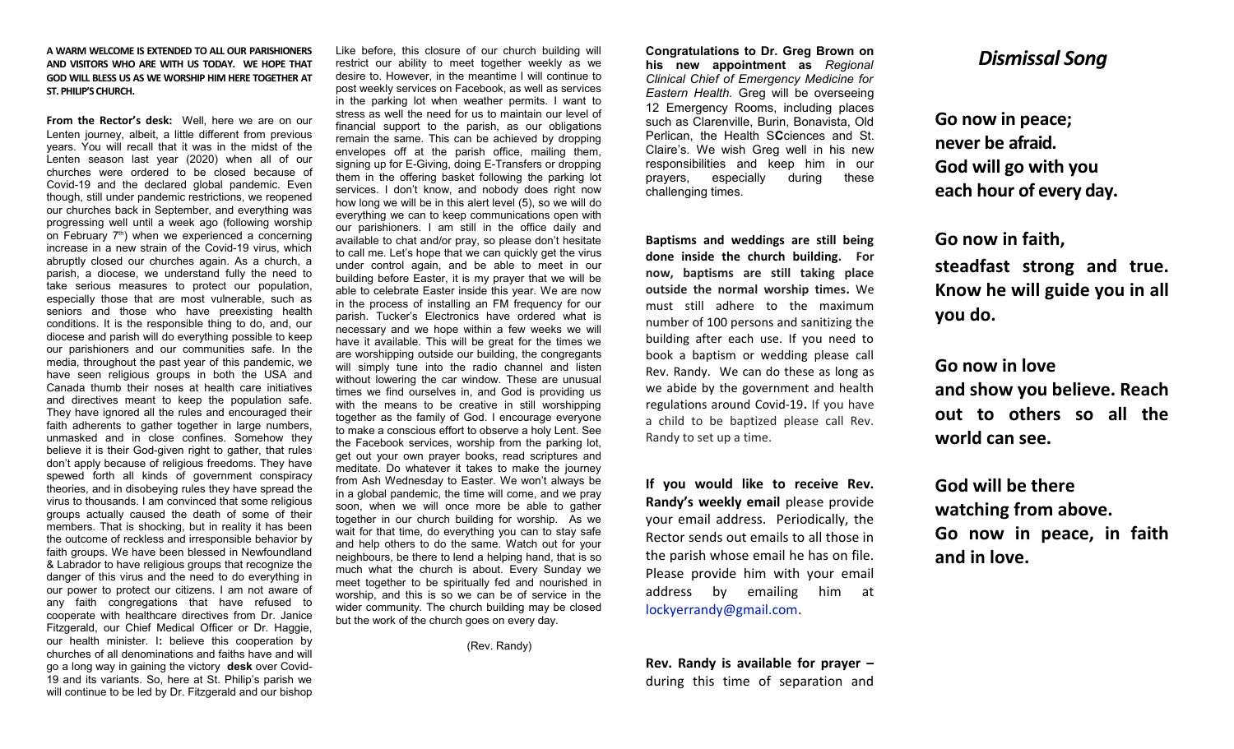#### **A WARM WELCOME IS EXTENDED TO ALL OUR PARISHIONERS AND VISITORS WHO ARE WITH US TODAY. WE HOPE THAT GOD WILL BLESS US AS WE WORSHIP HIM HERE TOGETHER AT ST. PHILIP'S CHURCH.**

**From the Rector's desk:** Well, here we are on our Lenten journey, albeit, a little different from previous years. You will recall that it was in the midst of the Lenten season last year (2020) when all of our churches were ordered to be closed because of Covid-19 and the declared global pandemic. Even though, still under pandemic restrictions, we reopened our churches back in September, and everything was progressing well until a week ago (following worship on February  $7<sup>th</sup>$ ) when we experienced a concerning increase in a new strain of the Covid-19 virus, which abruptly closed our churches again. As a church, a parish, a diocese, we understand fully the need to take serious measures to protect our population, especially those that are most vulnerable, such as seniors and those who have preexisting health conditions. It is the responsible thing to do, and, our diocese and parish will do everything possible to keep our parishioners and our communities safe. In the media, throughout the past year of this pandemic, we have seen religious groups in both the USA and Canada thumb their noses at health care initiatives and directives meant to keep the population safe. They have ignored all the rules and encouraged their faith adherents to gather together in large numbers, unmasked and in close confines. Somehow they believe it is their God-given right to gather, that rules don't apply because of religious freedoms. They have spewed forth all kinds of government conspiracy theories, and in disobeying rules they have spread the virus to thousands. I am convinced that some religious groups actually caused the death of some of their members. That is shocking, but in reality it has been the outcome of reckless and irresponsible behavior by faith groups. We have been blessed in Newfoundland & Labrador to have religious groups that recognize the danger of this virus and the need to do everything in our power to protect our citizens. I am not aware of any faith congregations that have refused to cooperate with healthcare directives from Dr. Janice Fitzgerald, our Chief Medical Officer or Dr. Haggie, our health minister. I**:** believe this cooperation by churches of all denominations and faiths have and will go a long way in gaining the victory **desk** over Covid-19 and its variants. So, here at St. Philip's parish we will continue to be led by Dr. Fitzgerald and our bishop

Like before, this closure of our church building will restrict our ability to meet together weekly as we desire to. However, in the meantime I will continue to post weekly services on Facebook, as well as services in the parking lot when weather permits. I want to stress as well the need for us to maintain our level of financial support to the parish, as our obligations remain the same. This can be achieved by dropping envelopes off at the parish office, mailing them, signing up for E-Giving, doing E-Transfers or dropping them in the offering basket following the parking lot services. I don't know, and nobody does right now how long we will be in this alert level (5), so we will do everything we can to keep communications open with our parishioners. I am still in the office daily and available to chat and/or pray, so please don't hesitate to call me. Let's hope that we can quickly get the virus under control again, and be able to meet in our building before Easter, it is my prayer that we will be able to celebrate Easter inside this year. We are now in the process of installing an FM frequency for our parish. Tucker's Electronics have ordered what is necessary and we hope within a few weeks we will have it available. This will be great for the times we are worshipping outside our building, the congregants will simply tune into the radio channel and listen without lowering the car window. These are unusual times we find ourselves in, and God is providing us with the means to be creative in still worshipping together as the family of God. I encourage everyone to make a conscious effort to observe a holy Lent. See the Facebook services, worship from the parking lot, get out your own prayer books, read scriptures and meditate. Do whatever it takes to make the journey from Ash Wednesday to Easter. We won't always be in a global pandemic, the time will come, and we pray soon, when we will once more be able to gather together in our church building for worship. As we wait for that time, do everything you can to stay safe and help others to do the same. Watch out for your neighbours, be there to lend a helping hand, that is so much what the church is about. Every Sunday we meet together to be spiritually fed and nourished in worship, and this is so we can be of service in the wider community. The church building may be closed but the work of the church goes on every day.

(Rev. Randy)

**Congratulations to Dr. Greg Brown on his new appointment as** *Regional Clinical Chief of Emergency Medicine for Eastern Health.* Greg will be overseeing 12 Emergency Rooms, including places such as Clarenville, Burin, Bonavista, Old Perlican, the Health S**C**ciences and St. Claire's. We wish Greg well in his new responsibilities and keep him in our prayers, especially during these challenging times.

**Baptisms and weddings are still being done inside the church building. For now, baptisms are still taking place outside the normal worship times.** We must still adhere to the maximum number of 100 persons and sanitizing the building after each use. If you need to book a baptism or wedding please call Rev. Randy. We can do these as long as we abide by the government and health regulations around Covid-19**.** If you have a child to be baptized please call Rev. Randy to set up a time.

**If you would like to receive Rev. Randy's weekly email** please provide your email address. Periodically, the Rector sends out emails to all those in the parish whose email he has on file. Please provide him with your email address by emailing him at [lockyerrandy@gmail.com.](mailto:lockyerrandy@gmail.com)

**Rev. Randy is available for prayer –** during this time of separation and

## *Dismissal Song*

**Go now in peace; never be afraid. God will go with you each hour of every day.**

**Go now in faith, steadfast strong and true. Know he will guide you in all you do.**

**Go now in love and show you believe. Reach out to others so all the world can see.**

**God will be there watching from above. Go now in peace, in faith and in love.**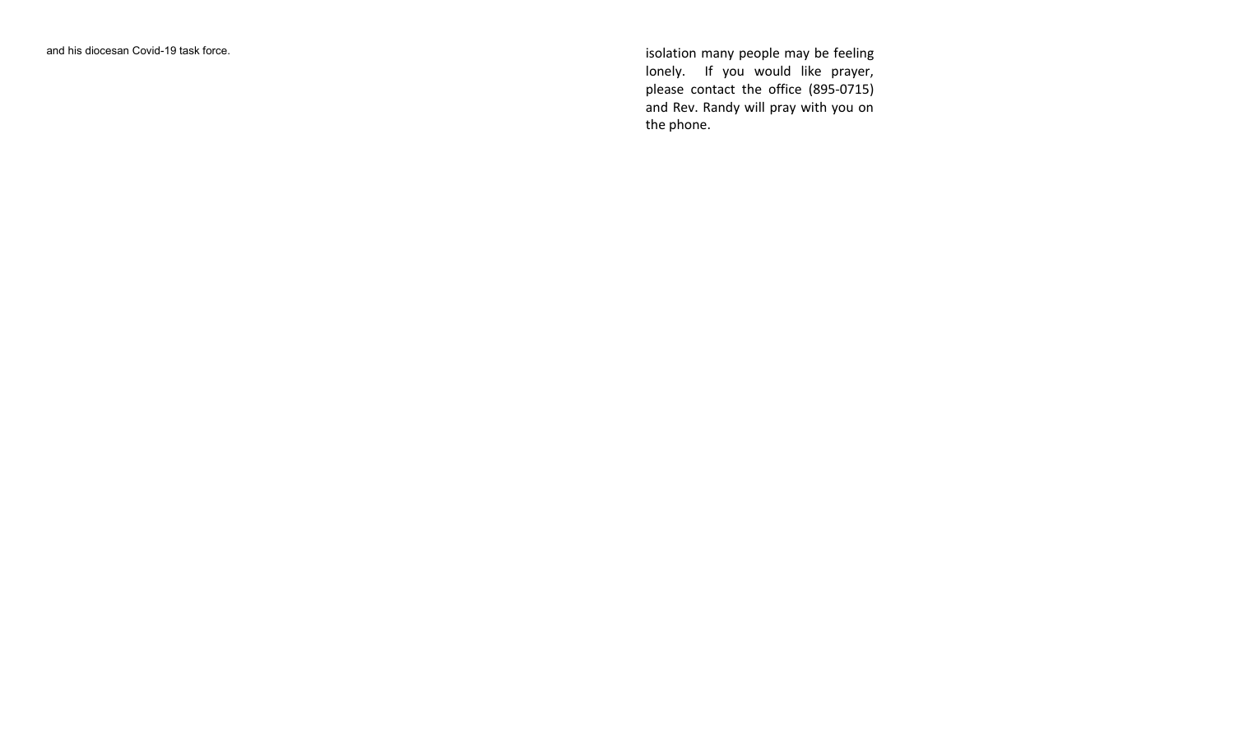and his diocesan Covid-19 task force. isolation many people may be feeling lonely. If you would like prayer, please contact the office (895-0715) and Rev. Randy will pray with you on the phone.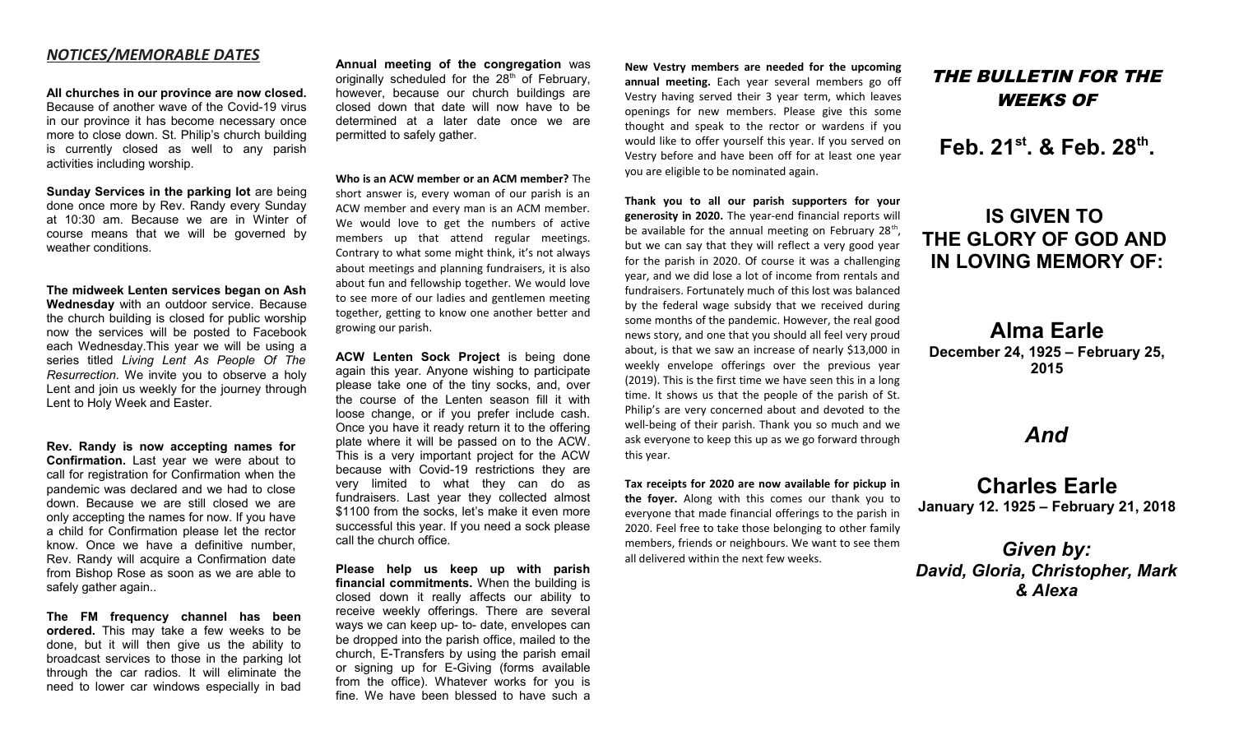### *NOTICES/MEMORABLE DATES*

**All churches in our province are now closed.** Because of another wave of the Covid-19 virus in our province it has become necessary once more to close down. St. Philip's church building is currently closed as well to any parish activities including worship.

**Sunday Services in the parking lot** are being done once more by Rev. Randy every Sunday at 10:30 am. Because we are in Winter of course means that we will be governed by weather conditions.

**The midweek Lenten services began on Ash Wednesday** with an outdoor service. Because the church building is closed for public worship now the services will be posted to Facebook each Wednesday.This year we will be using a series titled *Living Lent As People Of The Resurrection*. We invite you to observe a holy Lent and join us weekly for the journey through Lent to Holy Week and Easter.

**Rev. Randy is now accepting names for Confirmation.** Last year we were about to call for registration for Confirmation when the pandemic was declared and we had to close down. Because we are still closed we are only accepting the names for now. If you have a child for Confirmation please let the rector know. Once we have a definitive number, Rev. Randy will acquire a Confirmation date from Bishop Rose as soon as we are able to safely gather again..

**The FM frequency channel has been ordered.** This may take a few weeks to be done, but it will then give us the ability to broadcast services to those in the parking lot through the car radios. It will eliminate the need to lower car windows especially in bad

**Annual meeting of the congregation** was originally scheduled for the 28<sup>th</sup> of February, however, because our church buildings are closed down that date will now have to be determined at a later date once we are permitted to safely gather.

**Who is an ACW member or an ACM member?** The short answer is, every woman of our parish is an ACW member and every man is an ACM member. We would love to get the numbers of active members up that attend regular meetings. Contrary to what some might think, it's not always about meetings and planning fundraisers, it is also about fun and fellowship together. We would love to see more of our ladies and gentlemen meeting together, getting to know one another better and growing our parish.

**ACW Lenten Sock Project** is being done again this year. Anyone wishing to participate please take one of the tiny socks, and, over the course of the Lenten season fill it with loose change, or if you prefer include cash. Once you have it ready return it to the offering plate where it will be passed on to the ACW. This is a very important project for the ACW because with Covid-19 restrictions they are very limited to what they can do as fundraisers. Last year they collected almost \$1100 from the socks, let's make it even more successful this year. If you need a sock please call the church office.

**Please help us keep up with parish financial commitments.** When the building is closed down it really affects our ability to receive weekly offerings. There are several ways we can keep up- to- date, envelopes can be dropped into the parish office, mailed to the church, E-Transfers by using the parish email or signing up for E-Giving (forms available from the office). Whatever works for you is fine. We have been blessed to have such a

**New Vestry members are needed for the upcoming annual meeting.** Each year several members go off Vestry having served their 3 year term, which leaves openings for new members. Please give this some thought and speak to the rector or wardens if you would like to offer yourself this year. If you served on Vestry before and have been off for at least one year you are eligible to be nominated again.

**Thank you to all our parish supporters for your generosity in 2020.** The year-end financial reports will be available for the annual meeting on February 28<sup>th</sup>, but we can say that they will reflect a very good year for the parish in 2020. Of course it was a challenging year, and we did lose a lot of income from rentals and fundraisers. Fortunately much of this lost was balanced by the federal wage subsidy that we received during some months of the pandemic. However, the real good news story, and one that you should all feel very proud about, is that we saw an increase of nearly \$13,000 in weekly envelope offerings over the previous year (2019). This is the first time we have seen this in a long time. It shows us that the people of the parish of St. Philip's are very concerned about and devoted to the well-being of their parish. Thank you so much and we ask everyone to keep this up as we go forward through this year.

**Tax receipts for 2020 are now available for pickup in the foyer.** Along with this comes our thank you to everyone that made financial offerings to the parish in 2020. Feel free to take those belonging to other family members, friends or neighbours. We want to see them all delivered within the next few weeks.

# THE BULLETIN FOR THE WEEKS OF

**Feb. 21st. & Feb. 28th .**

# **IS GIVEN TO THE GLORY OF GOD AND IN LOVING MEMORY OF:**

**Alma Earle December 24, 1925 – February 25, 2015**

## *And*

**Charles Earle January 12. 1925 – February 21, 2018**

*Given by: David, Gloria, Christopher, Mark & Alexa*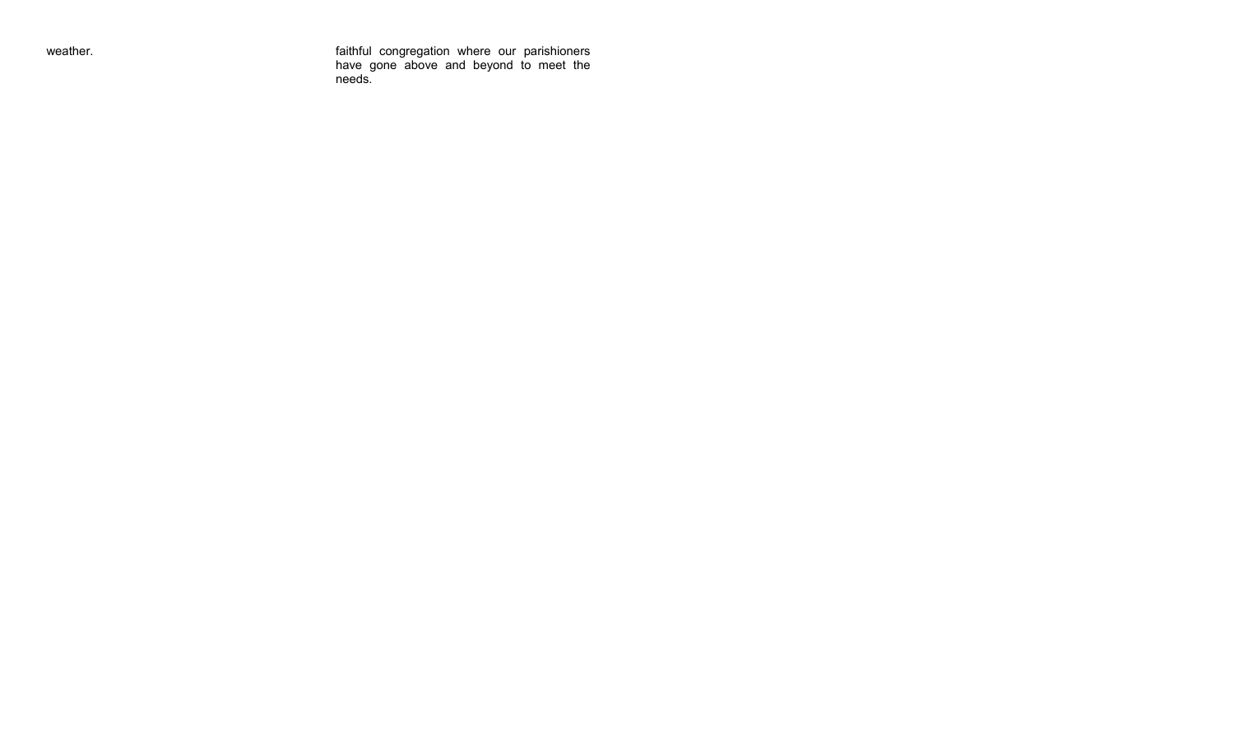weather. faithful congregation where our parishioners have gone above and beyond to meet the needs.